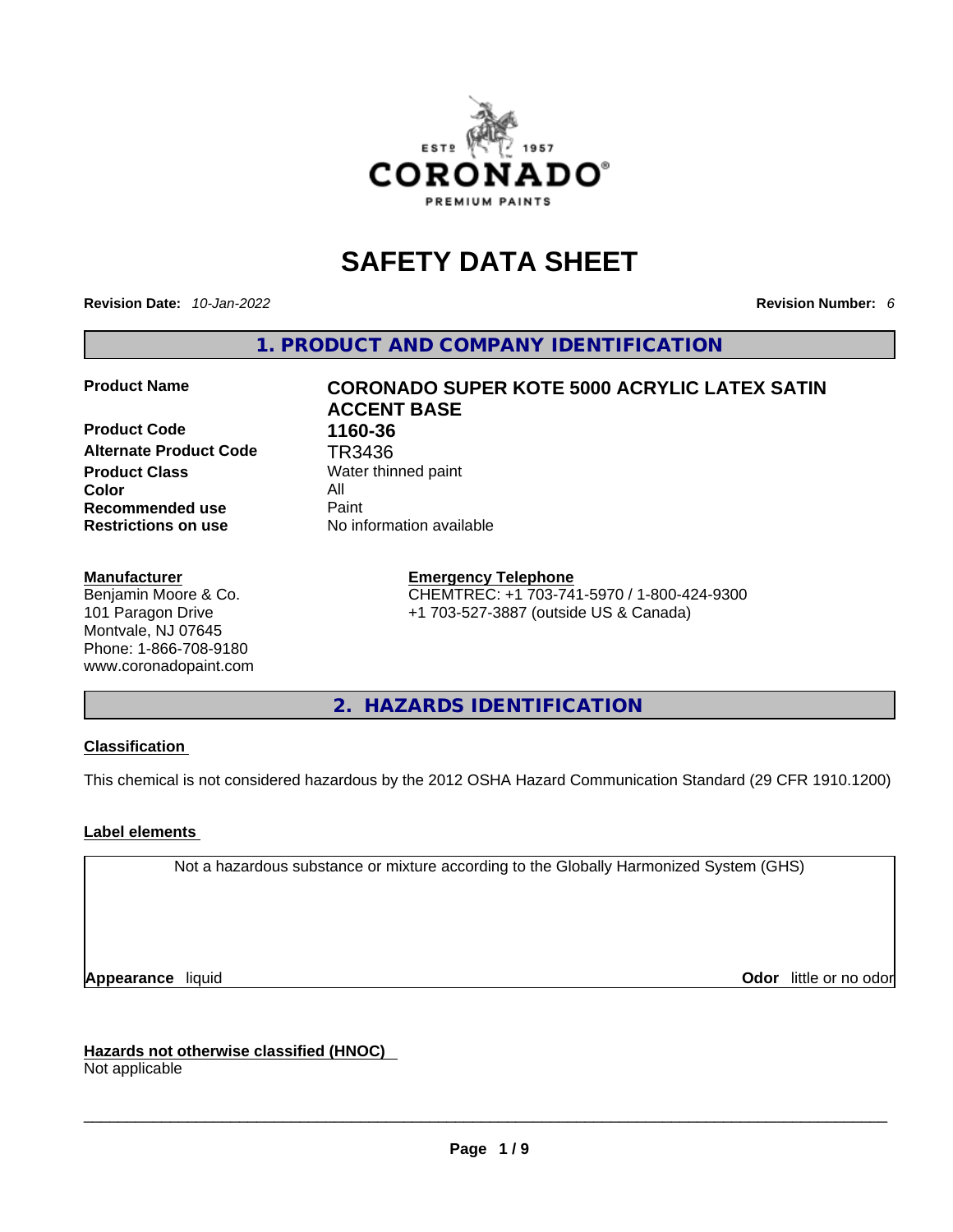

# **SAFETY DATA SHEET**

**Revision Date:** *10-Jan-2022* **Revision Number:** *6*

**1. PRODUCT AND COMPANY IDENTIFICATION** 

**Product Code 1160-36 Alternate Product Code TR3436**<br>**Product Class** Water thin **Color** All **Recommended use All Property Recommended use Restrictions on use** No information available

#### **Manufacturer**

Benjamin Moore & Co. 101 Paragon Drive Montvale, NJ 07645 Phone: 1-866-708-9180 www.coronadopaint.com

# **Product Name CORONADO SUPER KOTE 5000 ACRYLIC LATEX SATIN ACCENT BASE**

**Water thinned paint** 

#### **Emergency Telephone**

CHEMTREC: +1 703-741-5970 / 1-800-424-9300 +1 703-527-3887 (outside US & Canada)

**2. HAZARDS IDENTIFICATION** 

### **Classification**

This chemical is not considered hazardous by the 2012 OSHA Hazard Communication Standard (29 CFR 1910.1200)

### **Label elements**

Not a hazardous substance or mixture according to the Globally Harmonized System (GHS)

**Appearance** liquid **Odor 11** and **Odor 11** and **Odor 11** and **Odor 11** and **Odor 11** and **Odor** 11 and **Odor** 11 and **Odor** 11 and **Odor** 11 and **Odor** 11 and **Odor** 11 and **Odor** 11 and **Odor** 11 and **Odor** 11 and **Odor** 

**Hazards not otherwise classified (HNOC)**  Not applicable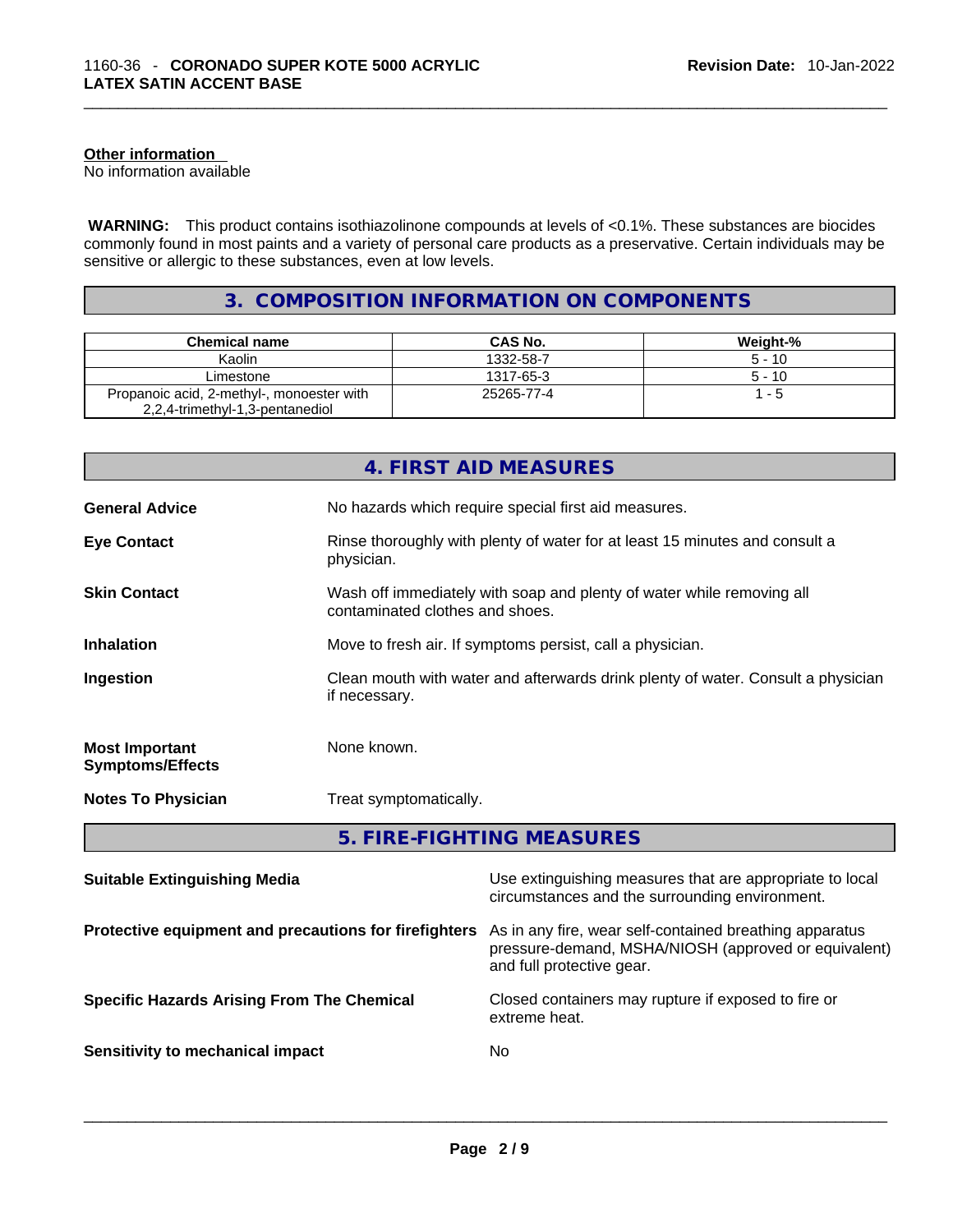#### **Other information**

No information available

 **WARNING:** This product contains isothiazolinone compounds at levels of <0.1%. These substances are biocides commonly found in most paints and a variety of personal care products as a preservative. Certain individuals may be sensitive or allergic to these substances, even at low levels.

# **3. COMPOSITION INFORMATION ON COMPONENTS**

| <b>Chemical name</b>                                                         | CAS No.    | Weight-% |
|------------------------------------------------------------------------------|------------|----------|
| Kaolin                                                                       | 1332-58-7  | $5 - 10$ |
| Limestone                                                                    | 1317-65-3  | $5 - 10$ |
| Propanoic acid, 2-methyl-, monoester with<br>2,2,4-trimethyl-1,3-pentanediol | 25265-77-4 | 1 - 5    |

|                                                  | 4. FIRST AID MEASURES                                                                                    |
|--------------------------------------------------|----------------------------------------------------------------------------------------------------------|
| <b>General Advice</b>                            | No hazards which require special first aid measures.                                                     |
| <b>Eye Contact</b>                               | Rinse thoroughly with plenty of water for at least 15 minutes and consult a<br>physician.                |
| <b>Skin Contact</b>                              | Wash off immediately with soap and plenty of water while removing all<br>contaminated clothes and shoes. |
| <b>Inhalation</b>                                | Move to fresh air. If symptoms persist, call a physician.                                                |
| Ingestion                                        | Clean mouth with water and afterwards drink plenty of water. Consult a physician<br>if necessary.        |
| <b>Most Important</b><br><b>Symptoms/Effects</b> | None known.                                                                                              |
| <b>Notes To Physician</b>                        | Treat symptomatically.                                                                                   |
|                                                  | 5. FIRE-FIGHTING MEASURES                                                                                |

| <b>Suitable Extinguishing Media</b>                   | Use extinguishing measures that are appropriate to local<br>circumstances and the surrounding environment.                                   |
|-------------------------------------------------------|----------------------------------------------------------------------------------------------------------------------------------------------|
| Protective equipment and precautions for firefighters | As in any fire, wear self-contained breathing apparatus<br>pressure-demand, MSHA/NIOSH (approved or equivalent)<br>and full protective gear. |
| <b>Specific Hazards Arising From The Chemical</b>     | Closed containers may rupture if exposed to fire or<br>extreme heat.                                                                         |
| Sensitivity to mechanical impact                      | No.                                                                                                                                          |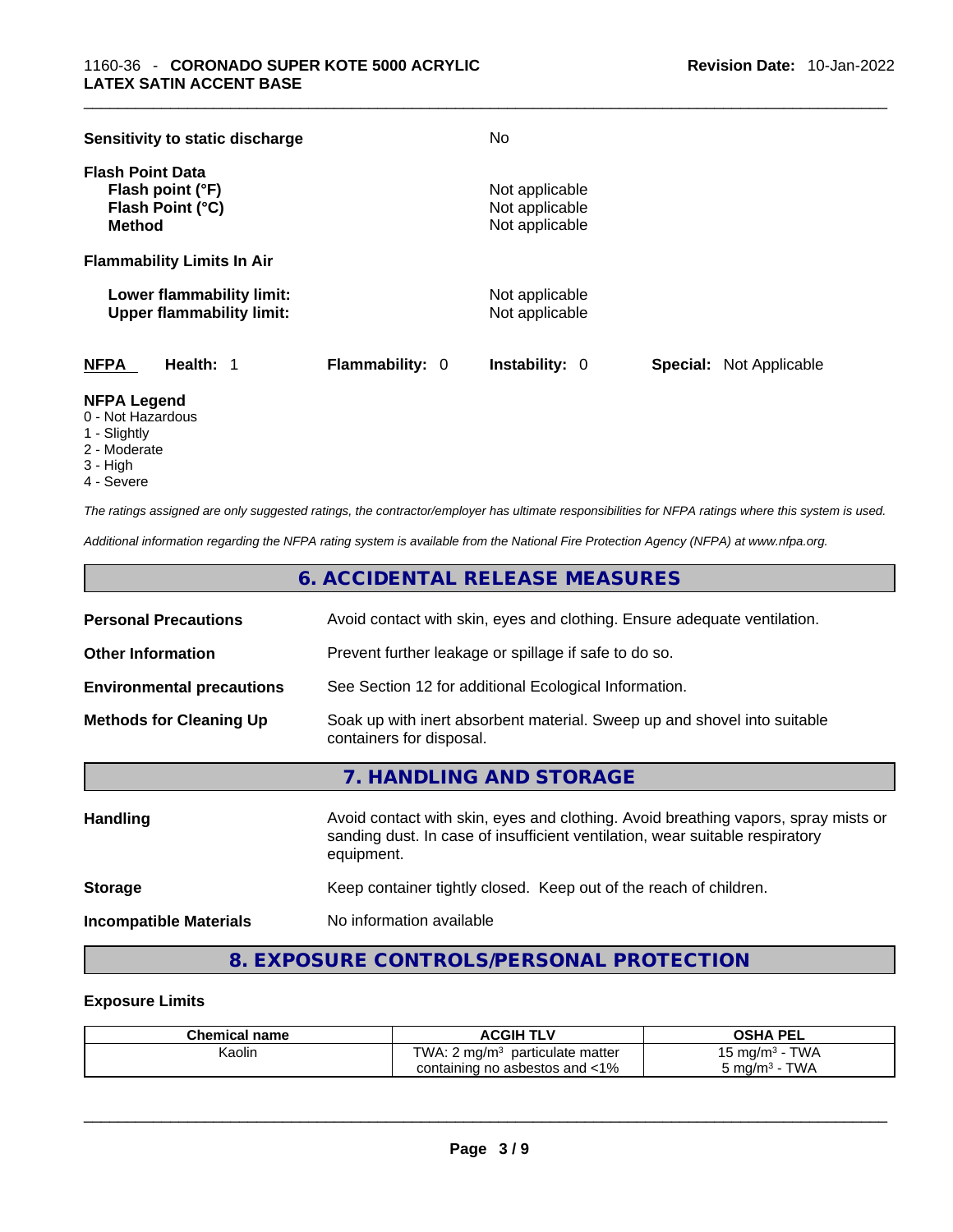| Sensitivity to static discharge                                                  |                 | No.                                                |                                |
|----------------------------------------------------------------------------------|-----------------|----------------------------------------------------|--------------------------------|
| <b>Flash Point Data</b><br>Flash point (°F)<br>Flash Point (°C)<br><b>Method</b> |                 | Not applicable<br>Not applicable<br>Not applicable |                                |
| <b>Flammability Limits In Air</b>                                                |                 |                                                    |                                |
| Lower flammability limit:<br><b>Upper flammability limit:</b>                    |                 | Not applicable<br>Not applicable                   |                                |
| <b>NFPA</b><br>Health: 1                                                         | Flammability: 0 | <b>Instability: 0</b>                              | <b>Special:</b> Not Applicable |

#### **NFPA Legend**

- 0 Not Hazardous
- 1 Slightly
- 2 Moderate
- 3 High
- 4 Severe

*The ratings assigned are only suggested ratings, the contractor/employer has ultimate responsibilities for NFPA ratings where this system is used.* 

*Additional information regarding the NFPA rating system is available from the National Fire Protection Agency (NFPA) at www.nfpa.org.* 

# **6. ACCIDENTAL RELEASE MEASURES**

| <b>Personal Precautions</b>                                                                                                            | Avoid contact with skin, eyes and clothing. Ensure adequate ventilation.                                                                                                         |
|----------------------------------------------------------------------------------------------------------------------------------------|----------------------------------------------------------------------------------------------------------------------------------------------------------------------------------|
| <b>Other Information</b>                                                                                                               | Prevent further leakage or spillage if safe to do so.                                                                                                                            |
| <b>Environmental precautions</b>                                                                                                       | See Section 12 for additional Ecological Information.                                                                                                                            |
| Soak up with inert absorbent material. Sweep up and shovel into suitable<br><b>Methods for Cleaning Up</b><br>containers for disposal. |                                                                                                                                                                                  |
|                                                                                                                                        | 7. HANDLING AND STORAGE                                                                                                                                                          |
| <b>Handling</b>                                                                                                                        | Avoid contact with skin, eyes and clothing. Avoid breathing vapors, spray mists or<br>sanding dust. In case of insufficient ventilation, wear suitable respiratory<br>equipment. |
| <b>Storage</b>                                                                                                                         | Keep container tightly closed. Keep out of the reach of children.                                                                                                                |
| .                                                                                                                                      | <b>Allents Commencers and Commences and Commences</b>                                                                                                                            |

**Incompatible Materials** No information available

# **8. EXPOSURE CONTROLS/PERSONAL PROTECTION**

#### **Exposure Limits**

| <b>Chemical name</b> | <b>ACGIH TLV</b>                              | OSHA<br>PEL    |
|----------------------|-----------------------------------------------|----------------|
| Kaolin               | TWA: $2 \text{ mg/m}^3$<br>particulate matter | TWA<br>⊸5 mg/m |
|                      | containing no asbestos and <1%                | TWA<br>ാ mɑ/mೈ |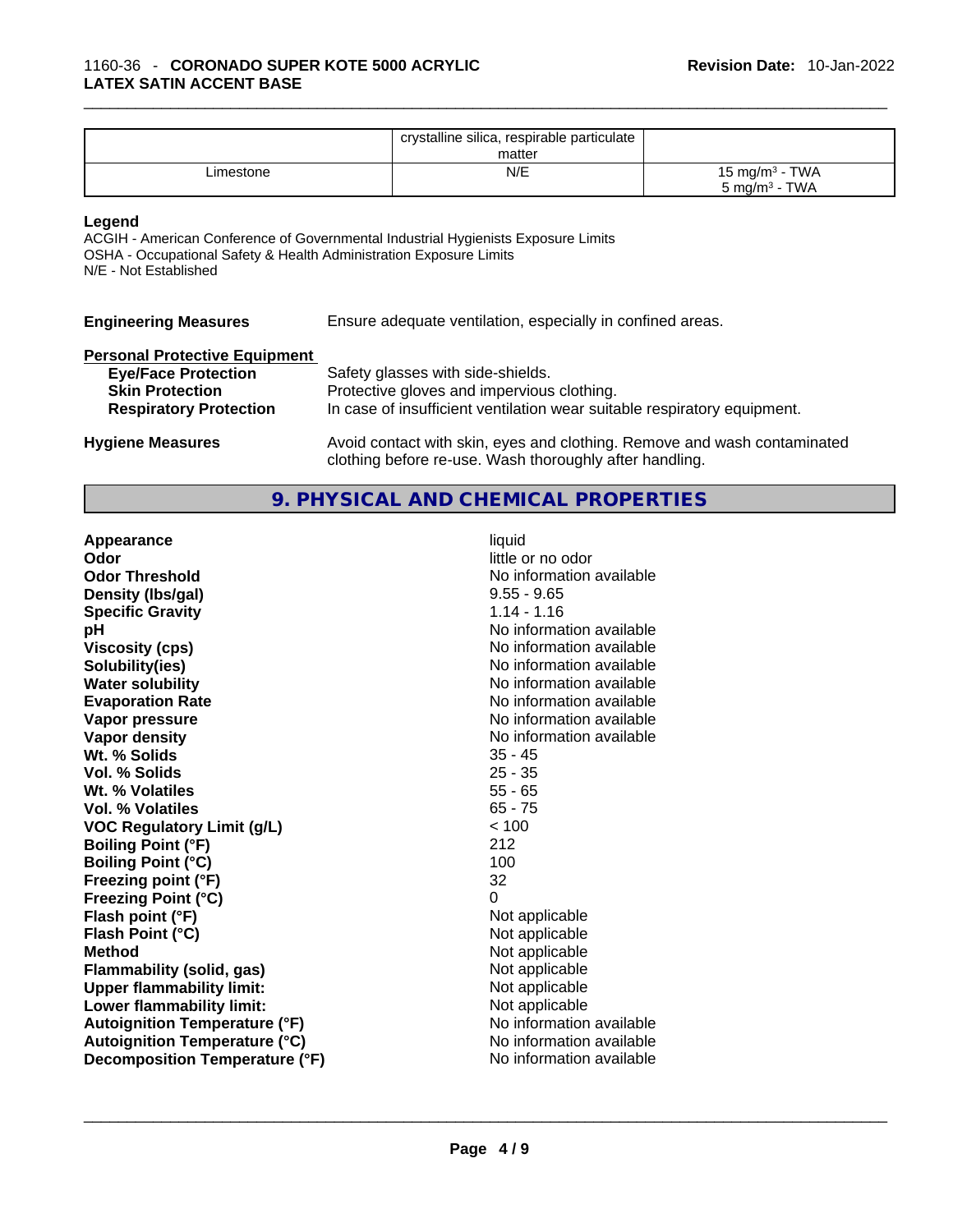|           | crystalline silica, respirable particulate<br>matter |                                                        |
|-----------|------------------------------------------------------|--------------------------------------------------------|
| ∟imestone | N/E                                                  | 15 mg/m <sup>3</sup> - TWA<br>$5 \text{ mg/m}^3$ - TWA |

#### **Legend**

ACGIH - American Conference of Governmental Industrial Hygienists Exposure Limits OSHA - Occupational Safety & Health Administration Exposure Limits N/E - Not Established

| <b>Engineering Measures</b>          | Ensure adequate ventilation, especially in confined areas. |
|--------------------------------------|------------------------------------------------------------|
| <b>Personal Protective Equipment</b> |                                                            |
| <b>Eye/Face Protection</b>           | Safety glasses with side-shields.                          |
| <b>Skin Protection</b>               | Protective gloves and impervious clothing.                 |

| .<br><b>Skin Protection</b>   | Protective gloves and impervious clothing.                               |
|-------------------------------|--------------------------------------------------------------------------|
| <b>Respiratory Protection</b> | In case of insufficient ventilation wear suitable respiratory equipment. |

**Hygiene Measures** Avoid contact with skin, eyes and clothing. Remove and wash contaminated clothing before re-use. Wash thoroughly after handling.

# **9. PHYSICAL AND CHEMICAL PROPERTIES**

| Appearance<br>Odor<br><b>Odor Threshold</b><br>Density (Ibs/gal)<br><b>Specific Gravity</b><br>pH<br><b>Viscosity (cps)</b><br>Solubility(ies)<br><b>Water solubility</b><br><b>Evaporation Rate</b><br>Vapor pressure<br>Vapor density<br>Wt. % Solids<br>Vol. % Solids<br>Wt. % Volatiles<br>Vol. % Volatiles<br><b>VOC Regulatory Limit (g/L)</b><br><b>Boiling Point (°F)</b><br><b>Boiling Point (°C)</b><br>Freezing point (°F)<br><b>Freezing Point (°C)</b><br>Flash point (°F)<br>Flash Point (°C)<br><b>Method</b><br><b>Flammability (solid, gas)</b><br><b>Upper flammability limit:</b><br>Lower flammability limit:<br><b>Autoignition Temperature (°F)</b> | liquid<br>little or no odor<br>No information available<br>$9.55 - 9.65$<br>$1.14 - 1.16$<br>No information available<br>No information available<br>No information available<br>No information available<br>No information available<br>No information available<br>No information available<br>$35 - 45$<br>$25 - 35$<br>$55 - 65$<br>$65 - 75$<br>< 100<br>212<br>100<br>32<br>0<br>Not applicable<br>Not applicable<br>Not applicable<br>Not applicable<br>Not applicable<br>Not applicable<br>No information available |
|---------------------------------------------------------------------------------------------------------------------------------------------------------------------------------------------------------------------------------------------------------------------------------------------------------------------------------------------------------------------------------------------------------------------------------------------------------------------------------------------------------------------------------------------------------------------------------------------------------------------------------------------------------------------------|-----------------------------------------------------------------------------------------------------------------------------------------------------------------------------------------------------------------------------------------------------------------------------------------------------------------------------------------------------------------------------------------------------------------------------------------------------------------------------------------------------------------------------|
| <b>Autoignition Temperature (°C)</b>                                                                                                                                                                                                                                                                                                                                                                                                                                                                                                                                                                                                                                      | No information available                                                                                                                                                                                                                                                                                                                                                                                                                                                                                                    |
| Decomposition Temperature (°F)                                                                                                                                                                                                                                                                                                                                                                                                                                                                                                                                                                                                                                            | No information available                                                                                                                                                                                                                                                                                                                                                                                                                                                                                                    |
|                                                                                                                                                                                                                                                                                                                                                                                                                                                                                                                                                                                                                                                                           |                                                                                                                                                                                                                                                                                                                                                                                                                                                                                                                             |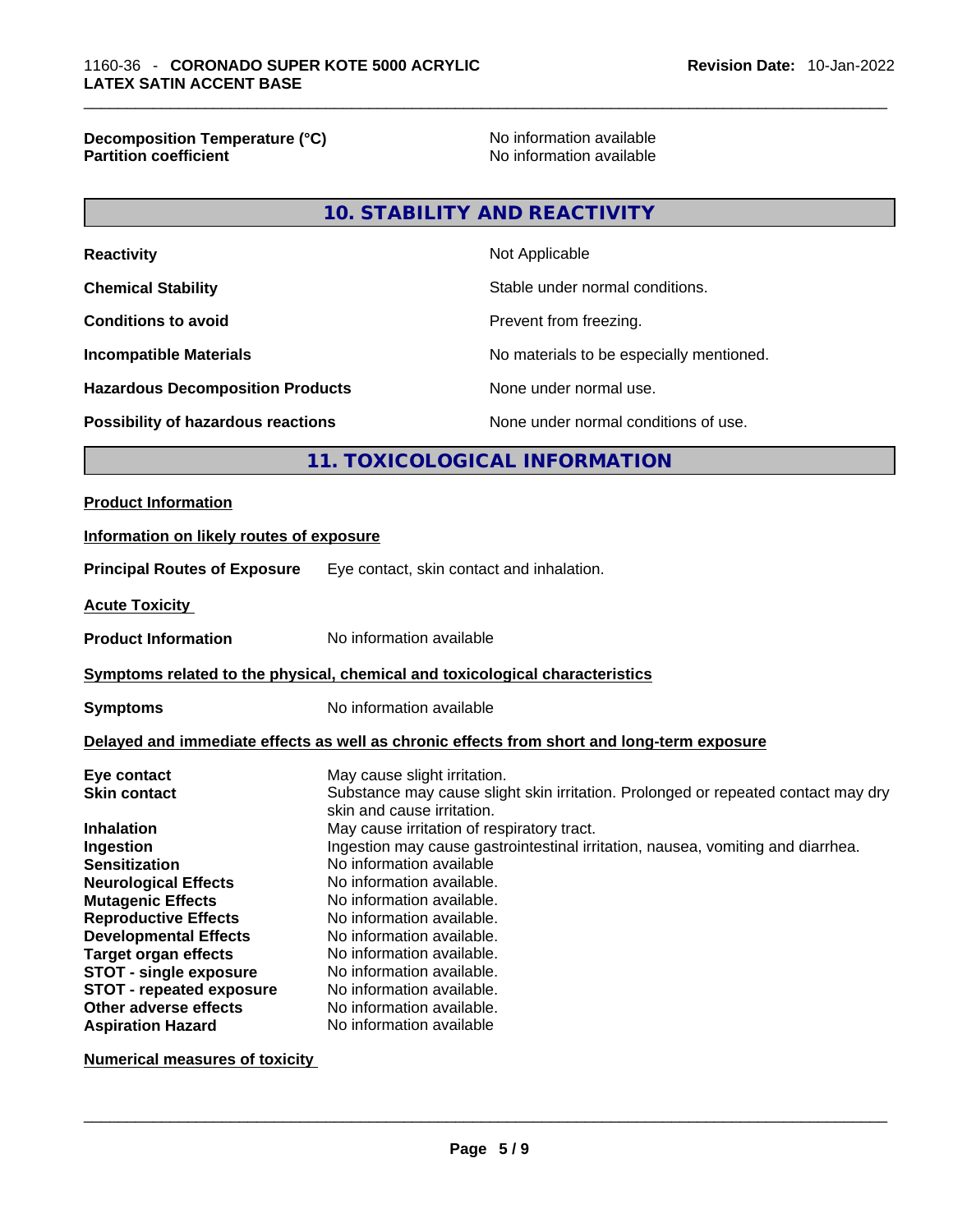**Decomposition Temperature (°C)** No information available **Partition coefficient** 

#### **10. STABILITY AND REACTIVITY**

| Not Applicable                           |
|------------------------------------------|
| Stable under normal conditions.          |
| Prevent from freezing.                   |
| No materials to be especially mentioned. |
| None under normal use.                   |
| None under normal conditions of use.     |
|                                          |

# **11. TOXICOLOGICAL INFORMATION**

#### **Product Information**

# **Information on likely routes of exposure Principal Routes of Exposure** Eye contact, skin contact and inhalation. **Acute Toxicity Product Information** No information available **Symptoms related to the physical,chemical and toxicological characteristics Symptoms** No information available **Delayed and immediate effects as well as chronic effects from short and long-term exposure Eye contact** May cause slight irritation. **Skin contact** Substance may cause slight skin irritation. Prolonged or repeated contact may dry skin and cause irritation. **Inhalation May cause irritation of respiratory tract. Ingestion Ingestion may cause gastrointestinal irritation**, nausea, vomiting and diarrhea.<br>**Sensitization Internation** available **Sensitization** No information available **Neurological Effects** No information available.

**Mutagenic Effects** No information available. **Reproductive Effects** No information available. **Developmental Effects** No information available. **Target organ effects** No information available. **STOT** - **single exposure** No information available. **STOT** - **repeated exposure** No information available. **Other adverse effects No information available.**<br> **Aspiration Hazard No information available No information available** 

**Numerical measures of toxicity**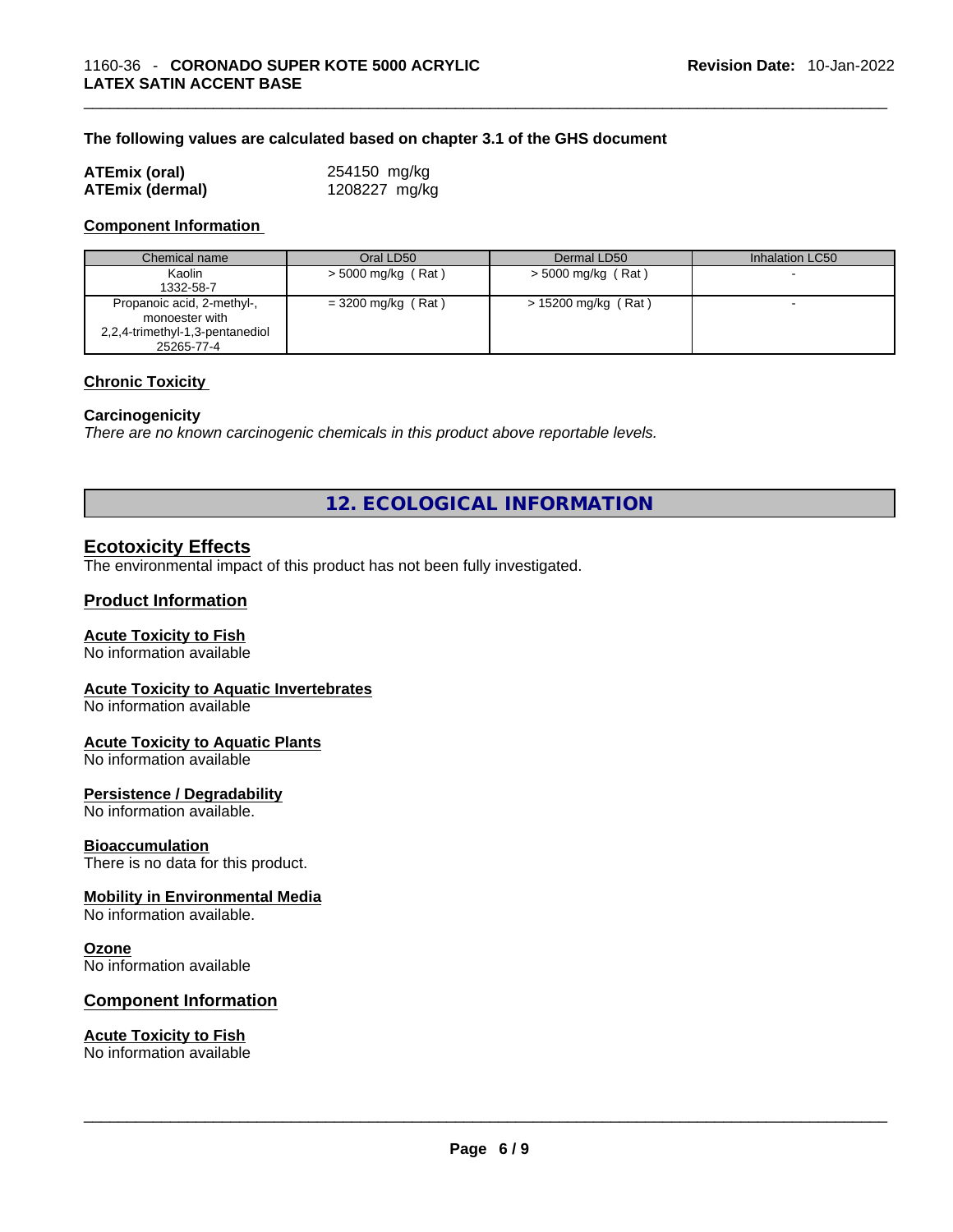#### **The following values are calculated based on chapter 3.1 of the GHS document**

| <b>ATEmix (oral)</b>   | 254150 mg/kg  |
|------------------------|---------------|
| <b>ATEmix (dermal)</b> | 1208227 mg/kg |

#### **Component Information**

| Chemical name                                                                                 | Oral LD50            | Dermal LD50           | Inhalation LC50          |
|-----------------------------------------------------------------------------------------------|----------------------|-----------------------|--------------------------|
| Kaolin<br>1332-58-7                                                                           | $>$ 5000 mg/kg (Rat) | $> 5000$ mg/kg (Rat)  |                          |
| Propanoic acid, 2-methyl-,<br>monoester with<br>2,2,4-trimethyl-1,3-pentanediol<br>25265-77-4 | $= 3200$ mg/kg (Rat) | $> 15200$ mg/kg (Rat) | $\overline{\phantom{a}}$ |

#### **Chronic Toxicity**

#### **Carcinogenicity**

*There are no known carcinogenic chemicals in this product above reportable levels.* 

**12. ECOLOGICAL INFORMATION** 

# **Ecotoxicity Effects**

The environmental impact of this product has not been fully investigated.

#### **Product Information**

#### **Acute Toxicity to Fish**

No information available

#### **Acute Toxicity to Aquatic Invertebrates**

No information available

#### **Acute Toxicity to Aquatic Plants**

No information available

#### **Persistence / Degradability**

No information available.

#### **Bioaccumulation**

There is no data for this product.

## **Mobility in Environmental Media**

No information available.

#### **Ozone**

No information available

#### **Component Information**

# **Acute Toxicity to Fish**

No information available \_\_\_\_\_\_\_\_\_\_\_\_\_\_\_\_\_\_\_\_\_\_\_\_\_\_\_\_\_\_\_\_\_\_\_\_\_\_\_\_\_\_\_\_\_\_\_\_\_\_\_\_\_\_\_\_\_\_\_\_\_\_\_\_\_\_\_\_\_\_\_\_\_\_\_\_\_\_\_\_\_\_\_\_\_\_\_\_\_\_\_\_\_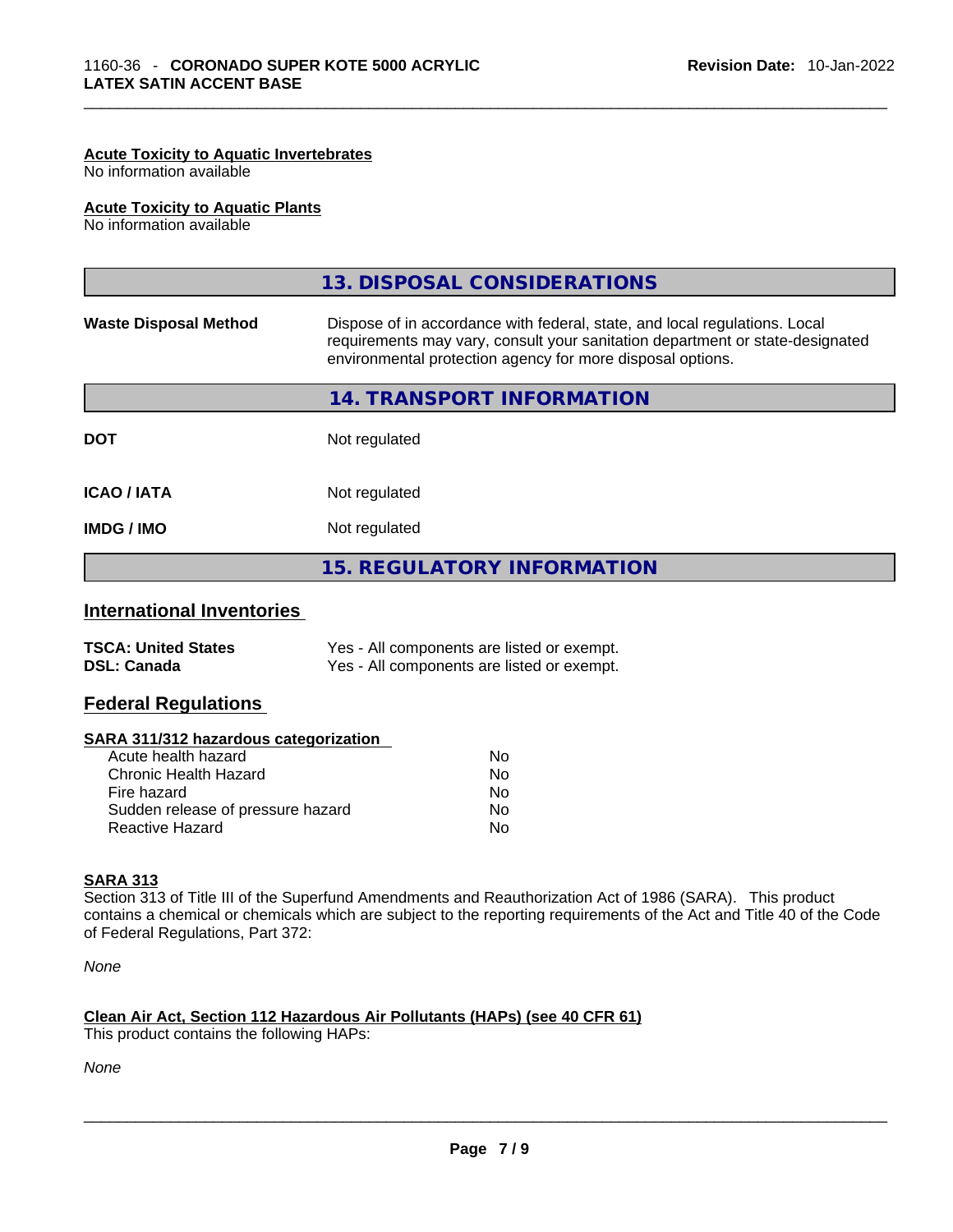#### **Acute Toxicity to Aquatic Invertebrates**

No information available

#### **Acute Toxicity to Aquatic Plants**

No information available

|                              | 13. DISPOSAL CONSIDERATIONS                                                                                                                                                                                               |  |
|------------------------------|---------------------------------------------------------------------------------------------------------------------------------------------------------------------------------------------------------------------------|--|
| <b>Waste Disposal Method</b> | Dispose of in accordance with federal, state, and local regulations. Local<br>requirements may vary, consult your sanitation department or state-designated<br>environmental protection agency for more disposal options. |  |
|                              | 14. TRANSPORT INFORMATION                                                                                                                                                                                                 |  |
| <b>DOT</b>                   | Not regulated                                                                                                                                                                                                             |  |
| <b>ICAO/IATA</b>             | Not regulated                                                                                                                                                                                                             |  |
| <b>IMDG / IMO</b>            | Not regulated                                                                                                                                                                                                             |  |
|                              | <b>15. REGULATORY INFORMATION</b>                                                                                                                                                                                         |  |
|                              |                                                                                                                                                                                                                           |  |

# **International Inventories**

| <b>TSCA: United States</b> | Yes - All components are listed or exempt. |
|----------------------------|--------------------------------------------|
| <b>DSL: Canada</b>         | Yes - All components are listed or exempt. |

#### **Federal Regulations**

#### **SARA 311/312 hazardous categorization**

| Acute health hazard               | Nο |
|-----------------------------------|----|
| Chronic Health Hazard             | Nο |
| Fire hazard                       | Nο |
| Sudden release of pressure hazard | Nο |
| Reactive Hazard                   | N٥ |

## **SARA 313**

Section 313 of Title III of the Superfund Amendments and Reauthorization Act of 1986 (SARA). This product contains a chemical or chemicals which are subject to the reporting requirements of the Act and Title 40 of the Code of Federal Regulations, Part 372:

*None*

#### **Clean Air Act,Section 112 Hazardous Air Pollutants (HAPs) (see 40 CFR 61)**

This product contains the following HAPs: \_\_\_\_\_\_\_\_\_\_\_\_\_\_\_\_\_\_\_\_\_\_\_\_\_\_\_\_\_\_\_\_\_\_\_\_\_\_\_\_\_\_\_\_\_\_\_\_\_\_\_\_\_\_\_\_\_\_\_\_\_\_\_\_\_\_\_\_\_\_\_\_\_\_\_\_\_\_\_\_\_\_\_\_\_\_\_\_\_\_\_\_\_

*None*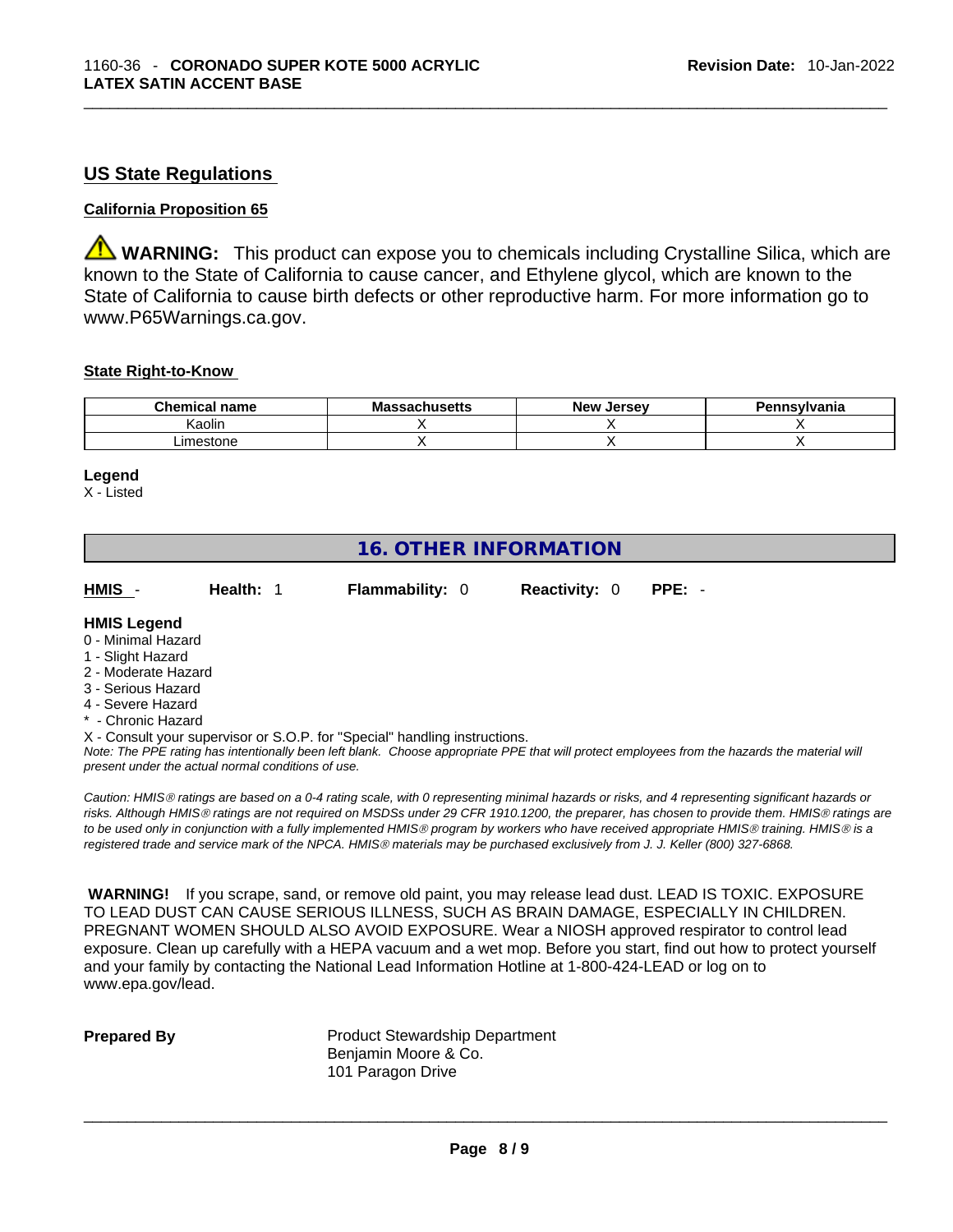# **US State Regulations**

#### **California Proposition 65**

**WARNING:** This product can expose you to chemicals including Crystalline Silica, which are known to the State of California to cause cancer, and Ethylene glycol, which are known to the State of California to cause birth defects or other reproductive harm. For more information go to www.P65Warnings.ca.gov.

#### **State Right-to-Know**

| <b>Chemical</b><br>name | <b>Massachusetts</b> | <b>New</b><br>. Jersev | Pennsylvania |
|-------------------------|----------------------|------------------------|--------------|
| <b>Kaolin</b>           |                      |                        |              |
| .imestone               |                      |                        |              |

#### **Legend**

X - Listed

# **16. OTHER INFORMATION**

**HMIS** - **Health:** 1 **Flammability:** 0 **Reactivity:** 0 **PPE:** -

## **HMIS Legend**

- 0 Minimal Hazard
- 1 Slight Hazard
- 2 Moderate Hazard
- 3 Serious Hazard
- 4 Severe Hazard
- **Chronic Hazard**
- X Consult your supervisor or S.O.P. for "Special" handling instructions.

Note: The PPE rating has intentionally been left blank. Choose appropriate PPE that will protect employees from the hazards the material will *present under the actual normal conditions of use.* 

*Caution: HMISÒ ratings are based on a 0-4 rating scale, with 0 representing minimal hazards or risks, and 4 representing significant hazards or risks. Although HMISÒ ratings are not required on MSDSs under 29 CFR 1910.1200, the preparer, has chosen to provide them. HMISÒ ratings are to be used only in conjunction with a fully implemented HMISÒ program by workers who have received appropriate HMISÒ training. HMISÒ is a registered trade and service mark of the NPCA. HMISÒ materials may be purchased exclusively from J. J. Keller (800) 327-6868.* 

 **WARNING!** If you scrape, sand, or remove old paint, you may release lead dust. LEAD IS TOXIC. EXPOSURE TO LEAD DUST CAN CAUSE SERIOUS ILLNESS, SUCH AS BRAIN DAMAGE, ESPECIALLY IN CHILDREN. PREGNANT WOMEN SHOULD ALSO AVOID EXPOSURE.Wear a NIOSH approved respirator to control lead exposure. Clean up carefully with a HEPA vacuum and a wet mop. Before you start, find out how to protect yourself and your family by contacting the National Lead Information Hotline at 1-800-424-LEAD or log on to www.epa.gov/lead.

**Prepared By Product Stewardship Department** Benjamin Moore & Co. 101 Paragon Drive